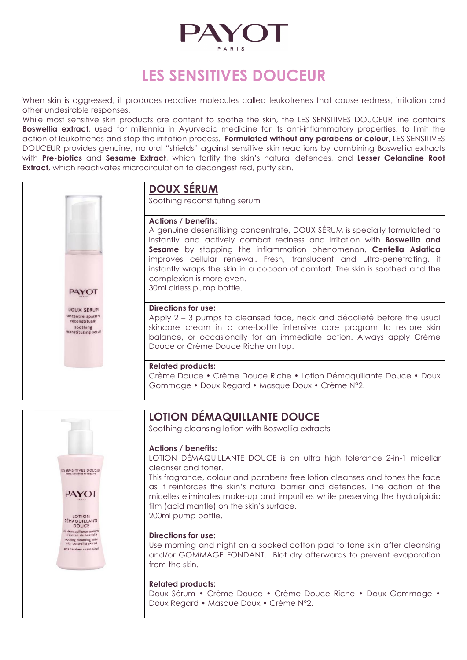

# **LES SENSITIVES DOUCEUR**

When skin is aggressed, it produces reactive molecules called leukotrenes that cause redness, irritation and other undesirable responses.

While most sensitive skin products are content to soothe the skin, the LES SENSITIVES DOUCEUR line contains **Boswellia extract**, used for millennia in Ayurvedic medicine for its anti-inflammatory properties, to limit the action of leukotrienes and stop the irritation process. **Formulated without any parabens or colour**, LES SENSITIVES DOUCEUR provides genuine, natural "shields" against sensitive skin reactions by combining Boswellia extracts with **Pre-biotics** and **Sesame Extract**, which fortify the skin's natural defences, and **Lesser Celandine Root Extract**, which reactivates microcirculation to decongest red, puffy skin.

|                                                                                              | <b>DOUX SERUM</b><br>Soothing reconstituting serum                                                                                                                                                                                                                                                                                                                                                                                                                                  |
|----------------------------------------------------------------------------------------------|-------------------------------------------------------------------------------------------------------------------------------------------------------------------------------------------------------------------------------------------------------------------------------------------------------------------------------------------------------------------------------------------------------------------------------------------------------------------------------------|
| <b>PAYOT</b>                                                                                 | <b>Actions / benefits:</b><br>A genuine desensitising concentrate, DOUX SÉRUM is specially formulated to<br>instantly and actively combat redness and irritation with <b>Boswellia and</b><br>Sesame by stopping the inflammation phenomenon. Centella Asiatica<br>improves cellular renewal. Fresh, translucent and ultra-penetrating, it<br>instantly wraps the skin in a cocoon of comfort. The skin is soothed and the<br>complexion is more even.<br>30ml airless pump bottle. |
| <b>DOUX SÉRUM</b><br>concentré apaisant<br>reconstituant<br>soothing<br>reconstituting serum | <b>Directions for use:</b><br>Apply 2 – 3 pumps to cleansed face, neck and décolleté before the usual<br>skincare cream in a one-bottle intensive care program to restore skin<br>balance, or occasionally for an immediate action. Always apply Crème<br>Douce or Crème Douce Riche on top.                                                                                                                                                                                        |
|                                                                                              | <b>Related products:</b><br>Crème Douce • Crème Douce Riche • Lotion Démaquillante Douce • Doux<br>Gommage • Doux Regard • Masque Doux • Crème N°2.                                                                                                                                                                                                                                                                                                                                 |

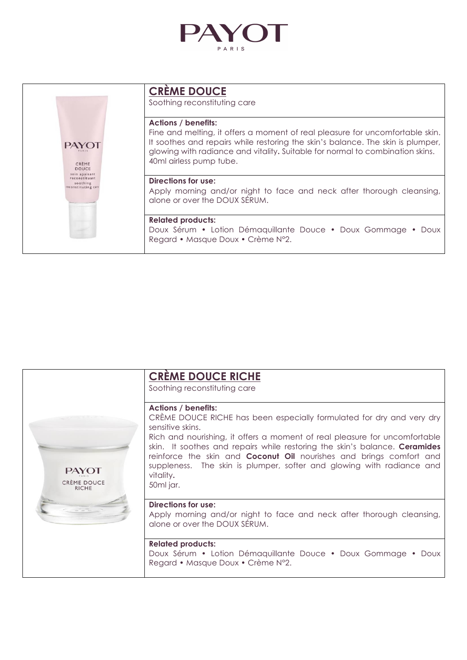



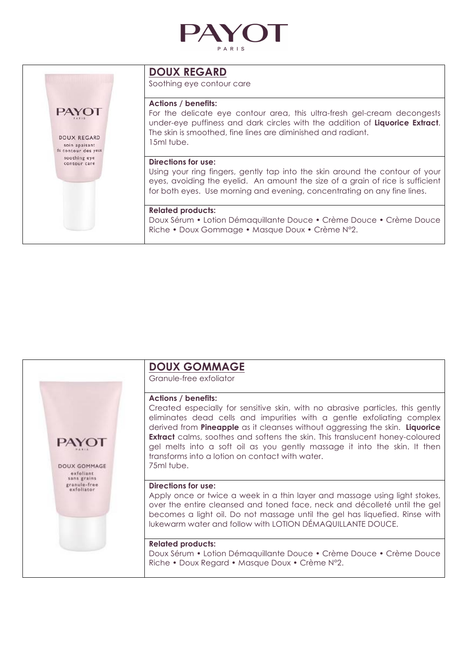



## **DOUX REGARD**

Soothing eye contour care

### **Actions / benefits:**

For the delicate eye contour area, this ultra-fresh gel-cream decongests under-eye puffiness and dark circles with the addition of **Liquorice Extract**. The skin is smoothed, fine lines are diminished and radiant. 15ml tube.

#### **Directions for use:**

Using your ring fingers, gently tap into the skin around the contour of your eyes, avoiding the eyelid. An amount the size of a grain of rice is sufficient for both eyes. Use morning and evening, concentrating on any fine lines.

### **Related products:**

Doux Sérum • Lotion Démaquillante Douce • Crème Douce • Crème Douce Riche • Doux Gommage • Masque Doux • Crème N°2.